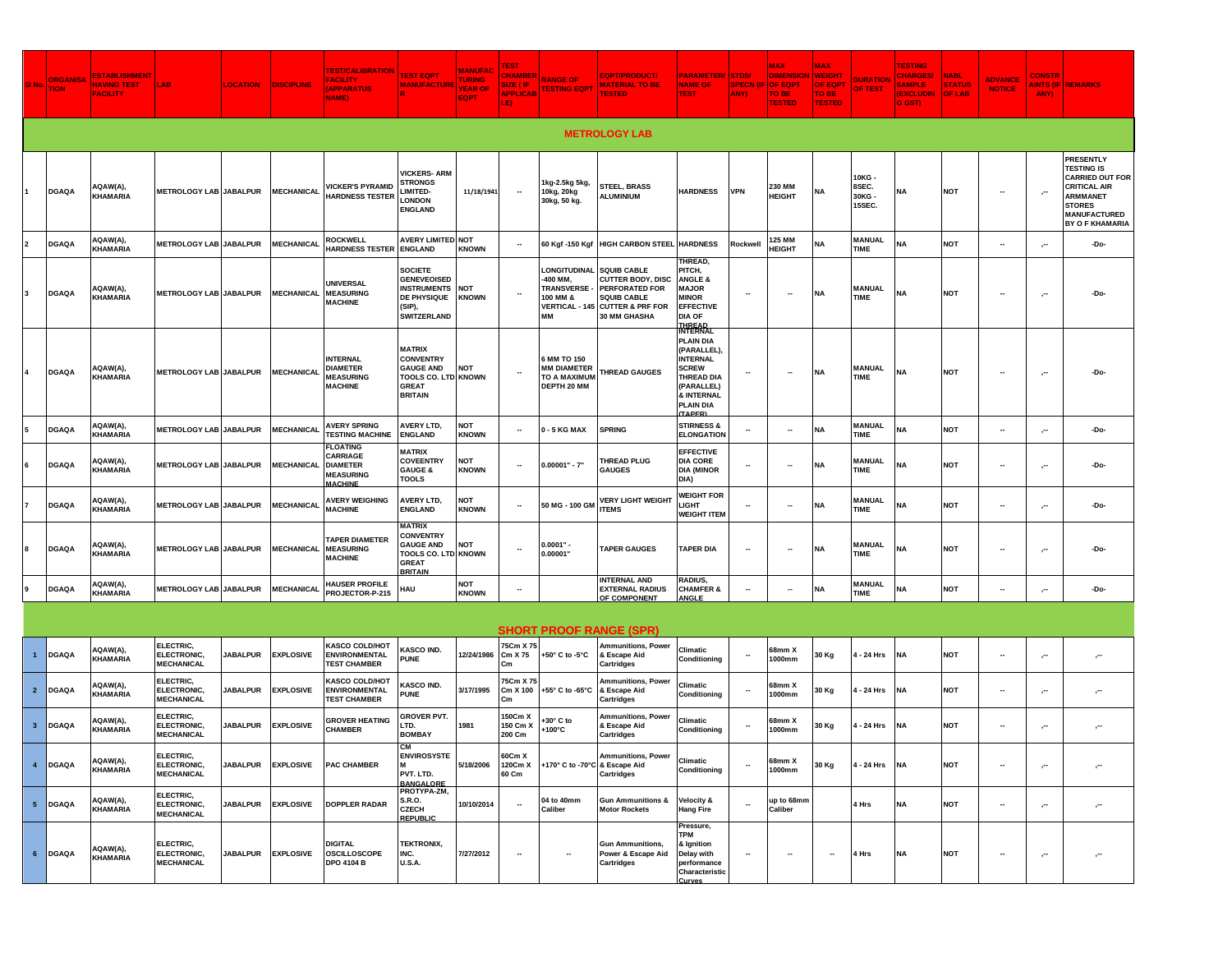| SI <sub>No</sub> | <b>ORGANISA</b><br><b>TION</b> | <b>ESTABLISHMENT</b><br><b>HAVING TEST</b><br><b>FACILITY</b> | LAB.                                          | <b>LOCATION</b> | <b>DISCIPLINE</b> | <b>FEST/CALIBRATION</b><br><b>ACILITY</b><br><b>APPARATUS</b><br>NAME)               | <b>EST EQPT</b><br><b>MANUFACTURE</b>                                                                                 | <b>MANUFAC</b><br><b>TURING</b><br><b>YEAR OF</b><br><b>EQPT</b> | <b>EST</b><br>CHAMBE<br>LE)   | <b>RANGE OF</b><br>APPLICAB TESTING EQPT                                | <b>EQPT/PRODUCT/</b><br><b>MATERIAL TO BE</b><br><b>TESTED</b>                                                                                              | PARAMETER/ STDS/<br><b>NAME OF</b><br><b>TEST</b>                                                                                                                               | (YMA                     | <b>XAM</b><br><b>DIMENSION</b><br>SPECN (IF OF EQPT<br>TO BE<br><b>TESTED</b> | <b>MAX</b><br><b>WEIGHT</b><br><b>OF EQPT</b><br>TO BE<br><b>TESTED</b> | <b>DURATION</b><br><b>OF TEST</b>  | <b>TESTING</b><br><b>CHARGES/</b><br><b>SAMPLE</b><br><b>(EXCLUDIN</b><br>G GST) | <b>NABL</b><br><b>STATUS</b><br><b>OF LAB</b> | <b>ADVANCE</b><br><b>NOTICE</b> | <b>CONSTR</b><br>ANY) | <b>AINTS (IF REMARKS</b>                                                                                                                                             |
|------------------|--------------------------------|---------------------------------------------------------------|-----------------------------------------------|-----------------|-------------------|--------------------------------------------------------------------------------------|-----------------------------------------------------------------------------------------------------------------------|------------------------------------------------------------------|-------------------------------|-------------------------------------------------------------------------|-------------------------------------------------------------------------------------------------------------------------------------------------------------|---------------------------------------------------------------------------------------------------------------------------------------------------------------------------------|--------------------------|-------------------------------------------------------------------------------|-------------------------------------------------------------------------|------------------------------------|----------------------------------------------------------------------------------|-----------------------------------------------|---------------------------------|-----------------------|----------------------------------------------------------------------------------------------------------------------------------------------------------------------|
|                  | <b>METROLOGY LAB</b>           |                                                               |                                               |                 |                   |                                                                                      |                                                                                                                       |                                                                  |                               |                                                                         |                                                                                                                                                             |                                                                                                                                                                                 |                          |                                                                               |                                                                         |                                    |                                                                                  |                                               |                                 |                       |                                                                                                                                                                      |
|                  | <b>DGAQA</b>                   | AQAW(A),<br>KHAMARIA                                          | <b>METROLOGY LAB JABALPUR</b>                 |                 | <b>MECHANICAL</b> | <b>VICKER'S PYRAMID</b><br><b>HARDNESS TESTER</b>                                    | <b>VICKERS-ARM</b><br><b>STRONGS</b><br><b>IMITED-</b><br><b>LONDON</b><br><b>ENGLAND</b>                             | 11/18/1941                                                       |                               | 1kg-2.5kg 5kg,<br>10kg, 20kg<br>30kg, 50 kg.                            | <b>STEEL, BRASS</b><br><b>ALUMINIUM</b>                                                                                                                     | <b>HARDNESS</b>                                                                                                                                                                 | <b>VPN</b>               | 230 MM<br><b>HEIGHT</b>                                                       | NA                                                                      | 10KG -<br>8SEC.<br>30KG-<br>15SEC. | NA                                                                               | <b>NOT</b>                                    | $\overline{\phantom{a}}$        | ,.,                   | <b>PRESENTLY</b><br><b>TESTING IS</b><br><b>CARRIED OUT FOR</b><br><b>CRITICAL AIR</b><br><b>ARMMANET</b><br><b>STORES</b><br>MANUFACTURED<br><b>BY O F KHAMARIA</b> |
|                  | <b>DGAQA</b>                   | AQAW(A),<br>KHAMARIA                                          | <b>METROLOGY LAB JABALPUR</b>                 |                 | <b>MECHANICAL</b> | <b>ROCKWELL</b><br><b>HARDNESS TESTER</b>                                            | <b>AVERY LIMITED NOT</b><br><b>ENGLAND</b>                                                                            | <b>KNOWN</b>                                                     | <b>.</b>                      | 60 Kgf -150 Kgf                                                         | <b>HIGH CARBON STEEL</b>                                                                                                                                    | <b>HARDNESS</b>                                                                                                                                                                 | Rockwell                 | 125 MM<br><b>HEIGHT</b>                                                       | <b>NA</b>                                                               | <b>MANUAL</b><br><b>TIME</b>       | NΔ                                                                               | <b>NOT</b>                                    | $\overline{\phantom{a}}$        | $\sim$                | -Do-                                                                                                                                                                 |
| 3                | <b>DGAQA</b>                   | AQAW(A),<br>KHAMARIA                                          | <b>METROLOGY LAB JABALPUR</b>                 |                 | <b>MECHANICAI</b> | <b>UNIVERSAL</b><br><b>MEASURING</b><br><b>MACHINE</b>                               | <b>SOCIETE</b><br><b>GENEVEOISED</b><br><b>INSTRUMENTS</b><br>DE PHYSIQUE<br>(SIP)<br><b>SWITZERLAND</b>              | <b>NOT</b><br><b>KNOWN</b>                                       | ٠.                            | <b>LONGITUDINAL</b><br>-400 MM,<br>TRANSVERSE-<br>100 MM &<br>MM        | <b>SQUIB CABLE</b><br><b>CUTTER BODY, DISC</b><br><b>PERFORATED FOR</b><br><b>SQUIB CABLE</b><br><b>VERTICAL - 145 CUTTER &amp; PRF FOR</b><br>30 MM GHASHA | THREAD,<br>PITCH,<br><b>ANGLE &amp;</b><br><b>MAJOR</b><br><b>MINOR</b><br><b>EFFECTIVE</b><br><b>DIA OF</b><br><b>THREAD</b>                                                   | $\overline{\phantom{a}}$ |                                                                               | <b>NA</b>                                                               | <b>MANUAL</b><br><b>TIME</b>       | <b>NA</b>                                                                        | <b>NOT</b>                                    | $\overline{\phantom{a}}$        | 57                    | -Do-                                                                                                                                                                 |
|                  | <b>DGAQA</b>                   | AQAW(A),<br><b>KHAMARIA</b>                                   | <b>METROLOGY LAB JABALPUR</b>                 |                 | <b>MECHANICAI</b> | <b>INTERNAL</b><br><b>DIAMETER</b><br><b>MEASURING</b><br><b>MACHINE</b>             | <b>MATRIX</b><br><b>CONVENTRY</b><br><b>GAUGE AND</b><br><b>TOOLS CO. LTD KNOWN</b><br><b>GREAT</b><br><b>BRITAIN</b> | <b>NOT</b>                                                       | ٠.                            | 6 MM TO 150<br><b>MM DIAMETER</b><br><b>TO A MAXIMUM</b><br>DEPTH 20 MM | <b>THREAD GAUGES</b>                                                                                                                                        | <b>INTERNAL</b><br><b>PLAIN DIA</b><br>(PARALLEL)<br><b>INTERNAL</b><br><b>SCREW</b><br><b>THREAD DIA</b><br>(PARALLEL)<br><b>&amp; INTERNAL</b><br><b>PLAIN DIA</b><br>(TAPER) |                          |                                                                               | <b>NA</b>                                                               | <b>MANUAL</b><br><b>TIME</b>       | <b>NA</b>                                                                        | <b>NOT</b>                                    |                                 | 57                    | -Do-                                                                                                                                                                 |
|                  | <b>DGAQA</b>                   | AQAW(A),<br>KHAMARIA                                          | <b>METROLOGY LAB JABALPUR</b>                 |                 | <b>MECHANICAL</b> | <b>AVERY SPRING</b><br><b><i>TESTING MACHINE</i></b>                                 | AVERY LTD,<br><b>ENGLAND</b>                                                                                          | <b>NOT</b><br><b>KNOWN</b>                                       |                               | 0 - 5 KG MAX                                                            | <b>SPRING</b>                                                                                                                                               | <b>STIRNESS &amp;</b><br><b>ELONGATION</b>                                                                                                                                      |                          |                                                                               | NA                                                                      | <b>MANUAL</b><br><b>TIME</b>       | <b>NA</b>                                                                        | <b>NOT</b>                                    | --                              | $, -$                 | -Do-                                                                                                                                                                 |
|                  | <b>DGAQA</b>                   | AQAW(A),<br>KHAMARIA                                          | <b>METROLOGY LAB JABALPUR</b>                 |                 | <b>MECHANICAL</b> | <b>FLOATING</b><br>CARRIAGE<br><b>DIAMETER</b><br><b>MEASURING</b><br><b>MACHINE</b> | <b>MATRIX</b><br><b>COVEENTRY</b><br><b>GAUGE &amp;</b><br><b>TOOLS</b>                                               | <b>NOT</b><br><b>KNOWN</b>                                       | $\overline{\phantom{a}}$      | $0.00001" - 7"$                                                         | <b>THREAD PLUG</b><br><b>GAUGES</b>                                                                                                                         | <b>EFFECTIVE</b><br><b>DIA CORE</b><br><b>DIA (MINOR</b><br>DIA)                                                                                                                | $\overline{\phantom{a}}$ |                                                                               | NA                                                                      | <b>MANUAL</b><br><b>TIME</b>       | <b>NA</b>                                                                        | NOT                                           | --                              | Ö,                    | -Do-                                                                                                                                                                 |
|                  | <b>DGAQA</b>                   | AQAW(A),<br>KHAMARIA                                          | <b>METROLOGY LAB JABALPUR</b>                 |                 | <b>MECHANICAL</b> | <b>AVERY WEIGHING</b><br><b>MACHINE</b>                                              | AVERY LTD,<br><b>ENGLAND</b>                                                                                          | <b>NOT</b><br><b>KNOWN</b>                                       | $\overline{\phantom{a}}$      | 50 MG - 100 GM                                                          | <b>VERY LIGHT WEIGHT</b><br><b>ITEMS</b>                                                                                                                    | <b>WEIGHT FOR</b><br><b>LIGHT</b><br><b>WEIGHT ITEM</b>                                                                                                                         |                          |                                                                               | NA                                                                      | <b>MANUAL</b><br><b>TIME</b>       | <b>NA</b>                                                                        | <b>NOT</b>                                    | $\overline{\phantom{a}}$        | $, -$                 | -Do-                                                                                                                                                                 |
|                  | <b>DGAQA</b>                   | AQAW(A),<br>KHAMARIA                                          | <b>METROLOGY LAB JABALPUR</b>                 |                 | <b>MECHANICAL</b> | <b>TAPER DIAMETER</b><br><b>MEASURING</b><br><b>MACHINE</b>                          | MATRIX<br><b>CONVENTRY</b><br><b>GAUGE AND</b><br><b>TOOLS CO. LTD KNOWN</b><br><b>GREAT</b><br><b>BRITAIN</b>        | <b>NOT</b>                                                       |                               | $0.0001" -$<br>0.00001"                                                 | <b>TAPER GAUGES</b>                                                                                                                                         | <b>TAPER DIA</b>                                                                                                                                                                | $\overline{\phantom{a}}$ |                                                                               | ΝA                                                                      | <b>MANUAL</b><br><b>TIME</b>       | <b>NA</b>                                                                        | NOT                                           | --                              | 57                    | -Do-                                                                                                                                                                 |
|                  | <b>DGAQA</b>                   | AQAW(A),<br>KHAMARIA                                          | <b>METROLOGY LAB JABALPUR</b>                 |                 | <b>MECHANICAL</b> | <b>HAUSER PROFILE</b><br>PROJECTOR-P-215                                             | HAU                                                                                                                   | <b>NOT</b><br><b>KNOWN</b>                                       | Н,                            |                                                                         | <b>INTERNAL AND</b><br><b>EXTERNAL RADIUS</b><br>OF COMPONENT                                                                                               | RADIUS,<br><b>CHAMFER &amp;</b><br><b>ANGLE</b>                                                                                                                                 | $\overline{\phantom{a}}$ |                                                                               | NA                                                                      | <b>MANUAL</b><br><b>TIME</b>       | NA                                                                               | <b>NOT</b>                                    | ۰.                              | ÷.,                   | -Do-                                                                                                                                                                 |
|                  |                                |                                                               |                                               |                 |                   |                                                                                      |                                                                                                                       |                                                                  |                               |                                                                         | <b>SHORT PROOF RANGE (SPR)</b>                                                                                                                              |                                                                                                                                                                                 |                          |                                                                               |                                                                         |                                    |                                                                                  |                                               |                                 |                       |                                                                                                                                                                      |
| $\mathbf{1}$     | DGAQA                          | AQAW(A),<br><b>KHAMARIA</b>                                   | ELECTRIC,<br>ELECTRONIC,<br><b>MECHANICAL</b> | <b>JABALPUR</b> | <b>EXPLOSIVE</b>  | KASCO COLD/HOT<br><b>ENVIRONMENTAL</b><br><b>TEST CHAMBER</b>                        | <b>(ASCO IND.</b><br><b>PUNE</b>                                                                                      | 12/24/1986                                                       | 75Cm X 75<br>Cm X 75<br>Cm    | +50° C to -5°C                                                          | <b>Ammunitions, Power</b><br>& Escape Aid<br><b>Cartridges</b>                                                                                              | Climatic<br>Conditioning                                                                                                                                                        |                          | 68mm X<br>1000mm                                                              | 30 Kg                                                                   | 4 - 24 Hrs                         | <b>NA</b>                                                                        | <b>NOT</b>                                    | $\overline{\phantom{a}}$        | $\sim$                | $\cdot$ <sup>-</sup>                                                                                                                                                 |
| $\overline{2}$   | <b>DGAQA</b>                   | AQAW(A),<br>KHAMARIA                                          | ELECTRIC,<br>ELECTRONIC,<br><b>MECHANICAL</b> | <b>JABALPUR</b> | <b>EXPLOSIVE</b>  | <b>KASCO COLD/HOT</b><br><b>ENVIRONMENTAL</b><br><b>TEST CHAMBER</b>                 | KASCO IND.<br><b>PUNE</b>                                                                                             | 3/17/1995                                                        | 75Cm X 75<br>Cm X 100<br>Сm   | +55° C to -65°C                                                         | <b>Ammunitions, Power</b><br>& Escape Aid<br><b>Cartridges</b>                                                                                              | Climatic<br>Conditioning                                                                                                                                                        |                          | 68mm X<br>1000mm                                                              | 30 Kg                                                                   | - 24 Hrs                           | <b>NA</b>                                                                        | <b>NOT</b>                                    | $\overline{\phantom{a}}$        | $\cdot$               | $\cdot$ <sup>-</sup>                                                                                                                                                 |
| 3 <sup>2</sup>   | <b>DGAQA</b>                   | AQAW(A),<br>KHAMARIA                                          | ELECTRIC,<br>ELECTRONIC,<br><b>MECHANICAL</b> | <b>JABALPUR</b> | <b>EXPLOSIVE</b>  | <b>GROVER HEATING</b><br><b>CHAMBER</b>                                              | <b>GROVER PVT.</b><br>LTD.<br><b>BOMBAY</b>                                                                           | 1981                                                             | 150Cm X<br>150 Cm X<br>200 Cm | +30° C to<br>$+100^{\circ}$ C                                           | Ammunitions, Power<br>& Escape Aid<br><b>Cartridges</b>                                                                                                     | Climatic<br>Conditioning                                                                                                                                                        |                          | 38mm X<br>1000mm                                                              | 30 Kg                                                                   | 4 - 24 Hrs                         | NΔ                                                                               | <b>NOT</b>                                    |                                 | $\cdot$               | ÷.                                                                                                                                                                   |
| $\overline{4}$   | <b>DGAQA</b>                   | AQAW(A),<br>KHAMARIA                                          | ELECTRIC,<br>ELECTRONIC,<br><b>MECHANICAL</b> | <b>JABALPUR</b> | <b>EXPLOSIVE</b>  | <b>PAC CHAMBER</b>                                                                   | <b>ENVIROSYSTE</b><br>PVT. LTD.<br><b>BANGALORE</b>                                                                   | 5/18/2006                                                        | 60Cm X<br>120Cm X<br>60 Cm    | +170° C to -70°C & Escape Aid                                           | <b>Ammunitions, Power</b><br><b>Cartridges</b>                                                                                                              | Climatic<br>Conditioning                                                                                                                                                        | ٠.                       | 68mm X<br>1000mm                                                              | 30 Kg                                                                   | 4 - 24 Hrs                         | <b>NA</b>                                                                        | <b>NOT</b>                                    | $\overline{\phantom{a}}$        | $\sim$                | $\cdot$ <sup>--</sup>                                                                                                                                                |
| 5 <sub>5</sub>   | <b>DGAQA</b>                   | AQAW(A),<br>KHAMARIA                                          | ELECTRIC,<br>ELECTRONIC,<br><b>MECHANICAL</b> | <b>JABALPUR</b> | <b>EXPLOSIVE</b>  | <b>DOPPLER RADAR</b>                                                                 | PROTYPA-ZM,<br>S.R.O.<br>CZECH<br>REPUBLIC                                                                            | 10/10/2014                                                       | $\overline{\phantom{a}}$      | 04 to 40mm<br>Caliber                                                   | <b>Gun Ammunitions &amp;</b><br><b>Motor Rockets</b>                                                                                                        | <b>Velocity &amp;</b><br><b>Hang Fire</b>                                                                                                                                       |                          | up to 68mm<br>Caliber                                                         |                                                                         | 4 Hrs                              | <b>NA</b>                                                                        | <b>NOT</b>                                    | --                              | $\sim$                | $\mathcal{C}^{\bullet}$                                                                                                                                              |
| 6                | <b>DGAQA</b>                   | AQAW(A),<br>KHAMARIA                                          | ELECTRIC,<br>ELECTRONIC,<br><b>MECHANICAL</b> | <b>JABALPUR</b> | <b>EXPLOSIVE</b>  | <b>DIGITAL</b><br><b>OSCILLOSCOPE</b><br><b>DPO 4104 B</b>                           | <b>TEKTRONIX,</b><br>INC.<br><b>U.S.A.</b>                                                                            | 7/27/2012                                                        | ٠.                            | $\overline{\phantom{a}}$                                                | <b>Gun Ammunitions,</b><br>Power & Escape Aid<br>Cartridges                                                                                                 | Pressure,<br><b>TPM</b><br>& Ignition<br>Delay with<br>performance<br>Characteristic<br>Curve                                                                                   | $\overline{\phantom{a}}$ |                                                                               | --                                                                      | 4 Hrs                              | <b>NA</b>                                                                        | <b>NOT</b>                                    | $\overline{\phantom{a}}$        | $\cdot$ <sup>--</sup> | $\mathcal{C}^{\bullet}$                                                                                                                                              |